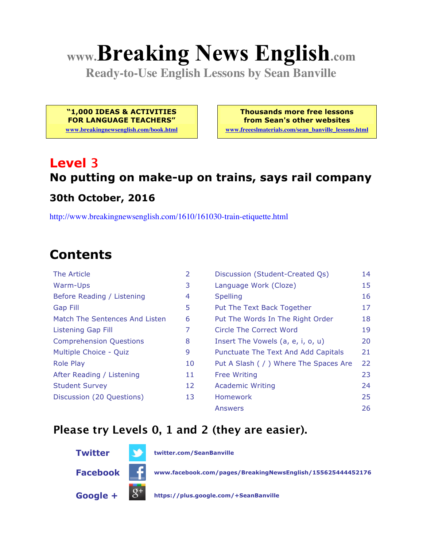# **www.Breaking News English.com**

**Ready-to-Use English Lessons by Sean Banville**

**"1,000 IDEAS & ACTIVITIES FOR LANGUAGE TEACHERS"**

**www.breakingnewsenglish.com/book.html**

**Thousands more free lessons from Sean's other websites**

**www.freeeslmaterials.com/sean\_banville\_lessons.html**

## **Level 3 No putting on make-up on trains, says rail company**

#### **30th October, 2016**

http://www.breakingnewsenglish.com/1610/161030-train-etiquette.html

## **Contents**

| The Article                    | $\mathcal{P}$ |
|--------------------------------|---------------|
| Warm-Ups                       | 3             |
| Before Reading / Listening     | 4             |
| Gap Fill                       | 5             |
| Match The Sentences And Listen | 6             |
| Listening Gap Fill             | 7             |
| <b>Comprehension Questions</b> | 8             |
| Multiple Choice - Quiz         | 9             |
| Role Play                      | 1             |
| After Reading / Listening      | 1             |
| <b>Student Survey</b>          | 1             |
| Discussion (20 Questions)      | 1             |
|                                |               |

| <b>The Article</b>             | 2  | Discussion (Student-Created Qs)        | 14 |
|--------------------------------|----|----------------------------------------|----|
| <b>Warm-Ups</b>                | 3  | Language Work (Cloze)                  | 15 |
| Before Reading / Listening     | 4  | <b>Spelling</b>                        | 16 |
| <b>Gap Fill</b>                | 5  | Put The Text Back Together             | 17 |
| Match The Sentences And Listen | 6  | Put The Words In The Right Order       | 18 |
| <b>Listening Gap Fill</b>      | 7  | <b>Circle The Correct Word</b>         | 19 |
| <b>Comprehension Questions</b> | 8  | Insert The Vowels (a, e, i, o, u)      | 20 |
| Multiple Choice - Quiz         | 9  | Punctuate The Text And Add Capitals    | 21 |
| <b>Role Play</b>               | 10 | Put A Slash ( / ) Where The Spaces Are | 22 |
| After Reading / Listening      | 11 | <b>Free Writing</b>                    | 23 |
| <b>Student Survey</b>          | 12 | <b>Academic Writing</b>                | 24 |
| Discussion (20 Questions)      | 13 | <b>Homework</b>                        | 25 |
|                                |    | Answers                                | 26 |
|                                |    |                                        |    |

#### **Please try Levels 0, 1 and 2 (they are easier).**



**Twitter twitter.com/SeanBanville**

**Facebook www.facebook.com/pages/BreakingNewsEnglish/155625444452176**

**Google + https://plus.google.com/+SeanBanville**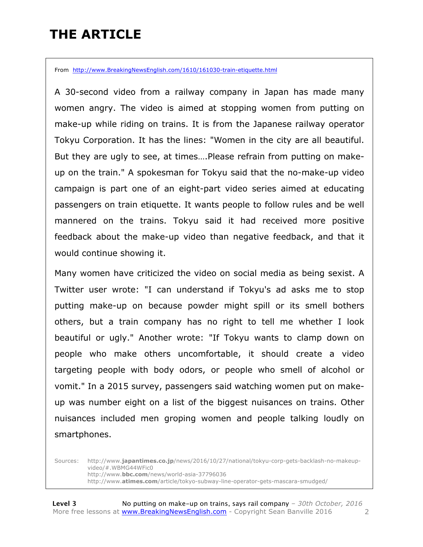## **THE ARTICLE**

From http://www.BreakingNewsEnglish.com/1610/161030-train-etiquette.html

A 30-second video from a railway company in Japan has made many women angry. The video is aimed at stopping women from putting on make-up while riding on trains. It is from the Japanese railway operator Tokyu Corporation. It has the lines: "Women in the city are all beautiful. But they are ugly to see, at times….Please refrain from putting on makeup on the train." A spokesman for Tokyu said that the no-make-up video campaign is part one of an eight-part video series aimed at educating passengers on train etiquette. It wants people to follow rules and be well mannered on the trains. Tokyu said it had received more positive feedback about the make-up video than negative feedback, and that it would continue showing it.

Many women have criticized the video on social media as being sexist. A Twitter user wrote: "I can understand if Tokyu's ad asks me to stop putting make-up on because powder might spill or its smell bothers others, but a train company has no right to tell me whether I look beautiful or ugly." Another wrote: "If Tokyu wants to clamp down on people who make others uncomfortable, it should create a video targeting people with body odors, or people who smell of alcohol or vomit." In a 2015 survey, passengers said watching women put on makeup was number eight on a list of the biggest nuisances on trains. Other nuisances included men groping women and people talking loudly on smartphones.

Sources: http://www.**japantimes.co.jp**/news/2016/10/27/national/tokyu-corp-gets-backlash-no-makeupvideo/#.WBMG44WFic0 http://www.**bbc.com**/news/world-asia-37796036 http://www.**atimes.com**/article/tokyo-subway-line-operator-gets-mascara-smudged/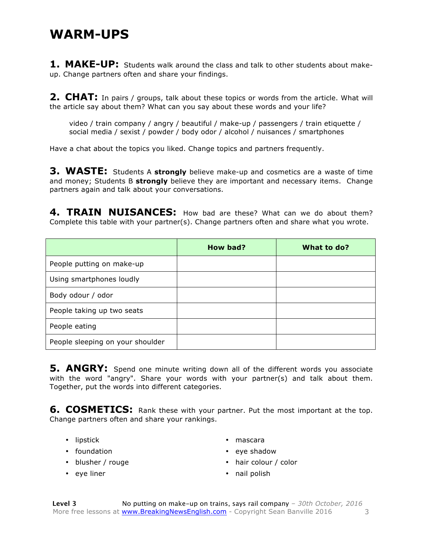#### **WARM-UPS**

**1. MAKE-UP:** Students walk around the class and talk to other students about makeup. Change partners often and share your findings.

**2. CHAT:** In pairs / groups, talk about these topics or words from the article. What will the article say about them? What can you say about these words and your life?

video / train company / angry / beautiful / make-up / passengers / train etiquette / social media / sexist / powder / body odor / alcohol / nuisances / smartphones

Have a chat about the topics you liked. Change topics and partners frequently.

**3. WASTE:** Students A **strongly** believe make-up and cosmetics are a waste of time and money; Students B **strongly** believe they are important and necessary items. Change partners again and talk about your conversations.

**4. TRAIN NUISANCES:** How bad are these? What can we do about them? Complete this table with your partner(s). Change partners often and share what you wrote.

|                                  | How bad? | What to do? |
|----------------------------------|----------|-------------|
| People putting on make-up        |          |             |
| Using smartphones loudly         |          |             |
| Body odour / odor                |          |             |
| People taking up two seats       |          |             |
| People eating                    |          |             |
| People sleeping on your shoulder |          |             |

**5. ANGRY:** Spend one minute writing down all of the different words you associate with the word "angry". Share your words with your partner(s) and talk about them. Together, put the words into different categories.

**6. COSMETICS:** Rank these with your partner. Put the most important at the top. Change partners often and share your rankings.

- lipstick
- foundation
- blusher / rouge
- eye liner
- mascara
- eye shadow
- hair colour / color
- nail polish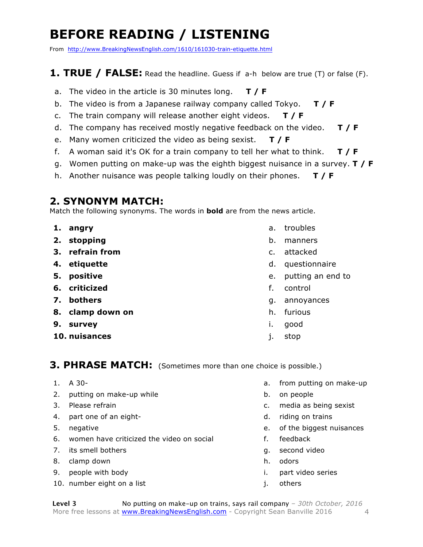## **BEFORE READING / LISTENING**

From http://www.BreakingNewsEnglish.com/1610/161030-train-etiquette.html

#### **1. TRUE / FALSE:** Read the headline. Guess if a-h below are true (T) or false (F).

- a. The video in the article is 30 minutes long. **T / F**
- b. The video is from a Japanese railway company called Tokyo. **T / F**
- c. The train company will release another eight videos. **T / F**
- d. The company has received mostly negative feedback on the video. **T / F**
- e. Many women criticized the video as being sexist. **T / F**
- f. A woman said it's OK for a train company to tell her what to think. **T / F**
- g. Women putting on make-up was the eighth biggest nuisance in a survey. **T / F**
- h. Another nuisance was people talking loudly on their phones. **T / F**

#### **2. SYNONYM MATCH:**

Match the following synonyms. The words in **bold** are from the news article.

- **1. angry**
- **2. stopping**
- **3. refrain from**
- **4. etiquette**
- **5. positive**
- **6. criticized**
- **7. bothers**
- **8. clamp down on**
- **9. survey**
- **10. nuisances**
- a. troubles
- b. manners
- c. attacked
- d. questionnaire
- e. putting an end to
- f. control
- g. annoyances
- h. furious
- i. good
- j. stop

#### **3. PHRASE MATCH:** (Sometimes more than one choice is possible.)

- 1. A 30-
- 2. putting on make-up while
- 3. Please refrain
- 4. part one of an eight-
- 5. negative
- 6. women have criticized the video on social
- 7. its smell bothers
- 8. clamp down
- 9. people with body
- 10. number eight on a list
- a. from putting on make-up
- b. on people
- c. media as being sexist
- d. riding on trains
- e. of the biggest nuisances
- f. feedback
- g. second video
- h. odors
- i. part video series
- j. others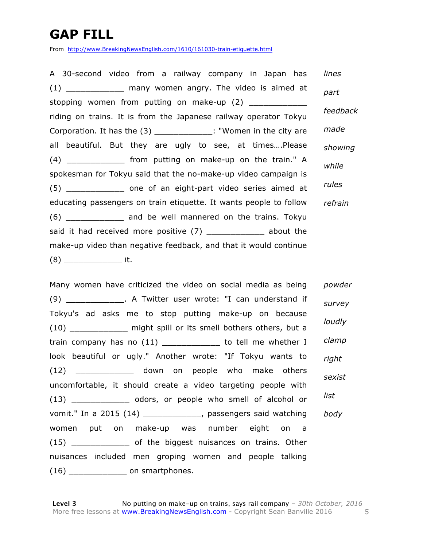## **GAP FILL**

From http://www.BreakingNewsEnglish.com/1610/161030-train-etiquette.html

A 30-second video from a railway company in Japan has (1) The many women angry. The video is aimed at stopping women from putting on make-up (2) \_\_\_\_\_\_\_\_\_\_\_\_ riding on trains. It is from the Japanese railway operator Tokyu Corporation. It has the (3) \_\_\_\_\_\_\_\_\_\_\_\_\_: "Women in the city are all beautiful. But they are ugly to see, at times….Please (4) \_\_\_\_\_\_\_\_\_\_\_\_ from putting on make-up on the train." A spokesman for Tokyu said that the no-make-up video campaign is (5) \_\_\_\_\_\_\_\_\_\_\_\_ one of an eight-part video series aimed at educating passengers on train etiquette. It wants people to follow (6) \_\_\_\_\_\_\_\_\_\_\_\_ and be well mannered on the trains. Tokyu said it had received more positive (7) \_\_\_\_\_\_\_\_\_\_\_\_\_ about the make-up video than negative feedback, and that it would continue  $(8)$  it. *lines part feedback made showing while rules refrain*

Many women have criticized the video on social media as being (9) \_\_\_\_\_\_\_\_\_\_\_\_. A Twitter user wrote: "I can understand if Tokyu's ad asks me to stop putting make-up on because (10) \_\_\_\_\_\_\_\_\_\_\_\_\_\_ might spill or its smell bothers others, but a train company has no (11) \_\_\_\_\_\_\_\_\_\_\_\_ to tell me whether I look beautiful or ugly." Another wrote: "If Tokyu wants to (12) \_\_\_\_\_\_\_\_\_\_\_\_ down on people who make others uncomfortable, it should create a video targeting people with (13) odors, or people who smell of alcohol or vomit." In a 2015 (14) \_\_\_\_\_\_\_\_\_\_\_\_, passengers said watching women put on make-up was number eight on a (15) of the biggest nuisances on trains. Other nuisances included men groping women and people talking (16) \_\_\_\_\_\_\_\_\_\_\_\_ on smartphones. *powder survey loudly clamp right sexist list body*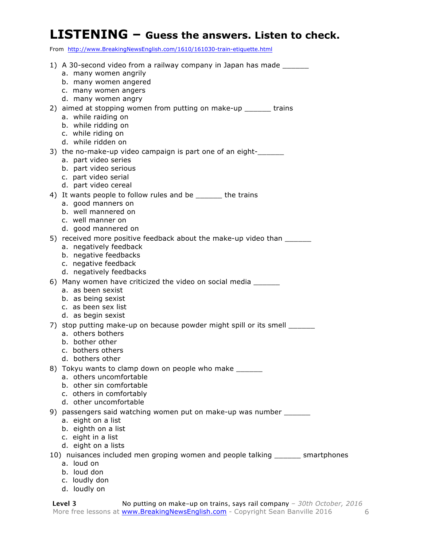#### **LISTENING – Guess the answers. Listen to check.**

From http://www.BreakingNewsEnglish.com/1610/161030-train-etiquette.html

| TTOM TRep.//WWW.DICakingNCW3Engh3h.com/1010/101030_d'alli-caqacttc.html                                                                                                       |
|-------------------------------------------------------------------------------------------------------------------------------------------------------------------------------|
| 1) A 30-second video from a railway company in Japan has made _______<br>a. many women angrily<br>b. many women angered<br>c. many women angers<br>d. many women angry        |
| 2) aimed at stopping women from putting on make-up ______ trains<br>a. while raiding on<br>b. while ridding on<br>c. while riding on<br>d. while ridden on                    |
| 3) the no-make-up video campaign is part one of an eight-<br>a. part video series<br>b. part video serious<br>c. part video serial<br>d. part video cereal                    |
| 4) It wants people to follow rules and be ______ the trains<br>a. good manners on<br>b. well mannered on<br>c. well manner on<br>d. good mannered on                          |
| 5) received more positive feedback about the make-up video than _______<br>a. negatively feedback<br>b. negative feedbacks<br>c. negative feedback<br>d. negatively feedbacks |
| 6) Many women have criticized the video on social media ______<br>a. as been sexist<br>b. as being sexist<br>c. as been sex list<br>d. as begin sexist                        |
| 7) stop putting make-up on because powder might spill or its smell _______<br>a. others bothers<br>b. bother other<br>c. bothers others<br>d. bothers other                   |
| 8) Tokyu wants to clamp down on people who make _______<br>a. others uncomfortable<br>b. other sin comfortable<br>c. others in comfortably<br>d. other uncomfortable          |
| 9) passengers said watching women put on make-up was number _______<br>a. eight on a list<br>b. eighth on a list<br>c. eight in a list<br>d. eight on a lists                 |
| 10) nuisances included men groping women and people talking ______ smartphones<br>a. loud on<br>b. loud don<br>c. loudly don<br>d. loudly on                                  |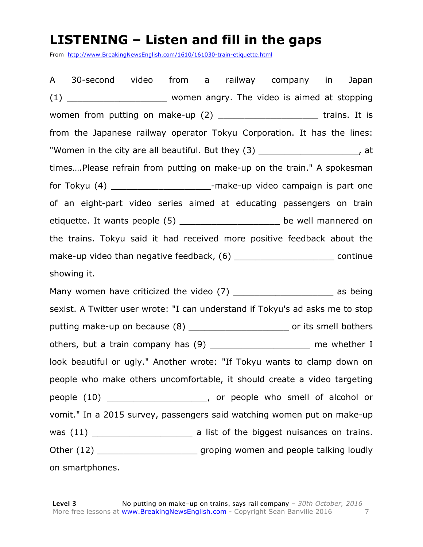#### **LISTENING – Listen and fill in the gaps**

From http://www.BreakingNewsEnglish.com/1610/161030-train-etiquette.html

A 30-second video from a railway company in Japan (1) \_\_\_\_\_\_\_\_\_\_\_\_\_\_\_\_\_\_\_\_\_\_\_ women angry. The video is aimed at stopping women from putting on make-up  $(2)$  \_\_\_\_\_\_\_\_\_\_\_\_\_\_\_\_\_\_\_\_\_\_\_\_\_\_\_ trains. It is from the Japanese railway operator Tokyu Corporation. It has the lines: "Women in the city are all beautiful. But they (3) \_\_\_\_\_\_\_\_\_\_\_\_\_\_\_\_\_\_\_\_\_\_, at times….Please refrain from putting on make-up on the train." A spokesman for Tokyu (4) \_\_\_\_\_\_\_\_\_\_\_\_\_\_\_\_\_\_\_\_\_\_\_\_-make-up video campaign is part one of an eight-part video series aimed at educating passengers on train etiquette. It wants people (5) \_\_\_\_\_\_\_\_\_\_\_\_\_\_\_\_\_\_\_\_\_ be well mannered on the trains. Tokyu said it had received more positive feedback about the make-up video than negative feedback, (6) example that the continue showing it. Many women have criticized the video (7) \_\_\_\_\_\_\_\_\_\_\_\_\_\_\_\_\_\_\_\_\_\_\_\_ as being sexist. A Twitter user wrote: "I can understand if Tokyu's ad asks me to stop putting make-up on because (8) \_\_\_\_\_\_\_\_\_\_\_\_\_\_\_\_\_\_\_\_\_\_\_\_ or its smell bothers others, but a train company has (9) \_\_\_\_\_\_\_\_\_\_\_\_\_\_\_\_\_\_\_\_\_ me whether I look beautiful or ugly." Another wrote: "If Tokyu wants to clamp down on people who make others uncomfortable, it should create a video targeting people (10) people who smell of alcohol or vomit." In a 2015 survey, passengers said watching women put on make-up was (11) \_\_\_\_\_\_\_\_\_\_\_\_\_\_\_\_\_\_\_ a list of the biggest nuisances on trains. Other (12) \_\_\_\_\_\_\_\_\_\_\_\_\_\_\_\_\_\_\_\_\_\_\_\_ groping women and people talking loudly on smartphones.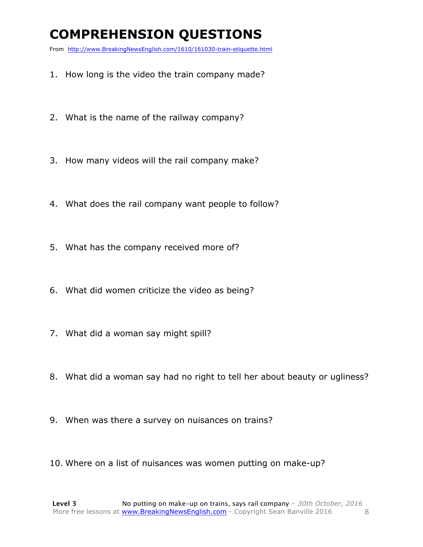## **COMPREHENSION QUESTIONS**

From http://www.BreakingNewsEnglish.com/1610/161030-train-etiquette.html

- 1. How long is the video the train company made?
- 2. What is the name of the railway company?
- 3. How many videos will the rail company make?
- 4. What does the rail company want people to follow?
- 5. What has the company received more of?
- 6. What did women criticize the video as being?
- 7. What did a woman say might spill?
- 8. What did a woman say had no right to tell her about beauty or ugliness?
- 9. When was there a survey on nuisances on trains?
- 10. Where on a list of nuisances was women putting on make-up?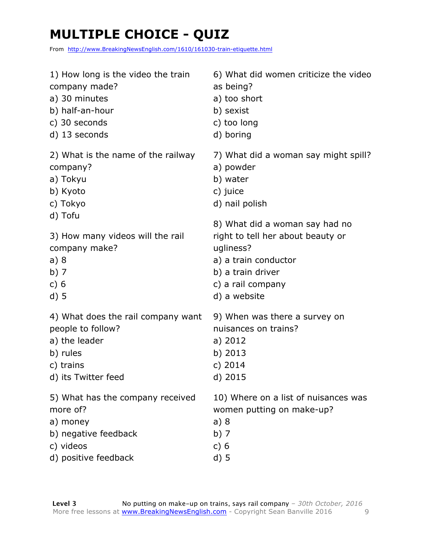## **MULTIPLE CHOICE - QUIZ**

From http://www.BreakingNewsEnglish.com/1610/161030-train-etiquette.html

| 1) How long is the video the train | 6) What did women criticize the video |
|------------------------------------|---------------------------------------|
| company made?                      | as being?                             |
| a) 30 minutes                      | a) too short                          |
| b) half-an-hour                    | b) sexist                             |
| c) 30 seconds                      | c) too long                           |
| d) 13 seconds                      | d) boring                             |
| 2) What is the name of the railway | 7) What did a woman say might spill?  |
| company?                           | a) powder                             |
| a) Tokyu                           | b) water                              |
| b) Kyoto                           | c) juice                              |
| c) Tokyo                           | d) nail polish                        |
| d) Tofu                            | 8) What did a woman say had no        |
| 3) How many videos will the rail   | right to tell her about beauty or     |
| company make?                      | ugliness?                             |
| a)8                                | a) a train conductor                  |
| b) $7$                             | b) a train driver                     |
| c) $6$                             | c) a rail company                     |
| $d)$ 5                             | d) a website                          |
| 4) What does the rail company want | 9) When was there a survey on         |
| people to follow?                  | nuisances on trains?                  |
| a) the leader                      | a) 2012                               |
| b) rules                           | b) 2013                               |
| c) trains                          | c) $2014$                             |
| d) its Twitter feed                | d) 2015                               |
| 5) What has the company received   | 10) Where on a list of nuisances was  |
| more of?                           | women putting on make-up?             |
| a) money                           | a)8                                   |
| b) negative feedback               | b) $7$                                |
| c) videos                          | c) $6$                                |
| d) positive feedback               | $d)$ 5                                |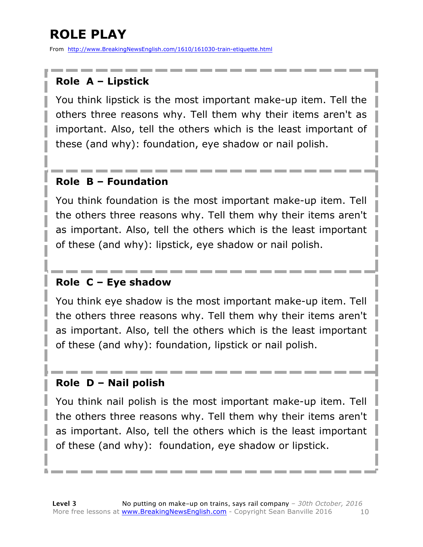## **ROLE PLAY**

From http://www.BreakingNewsEnglish.com/1610/161030-train-etiquette.html

#### **Role A – Lipstick**

You think lipstick is the most important make-up item. Tell the others three reasons why. Tell them why their items aren't as important. Also, tell the others which is the least important of these (and why): foundation, eye shadow or nail polish.

#### **Role B – Foundation**

You think foundation is the most important make-up item. Tell the others three reasons why. Tell them why their items aren't as important. Also, tell the others which is the least important of these (and why): lipstick, eye shadow or nail polish.

#### **Role C – Eye shadow**

You think eye shadow is the most important make-up item. Tell the others three reasons why. Tell them why their items aren't as important. Also, tell the others which is the least important of these (and why): foundation, lipstick or nail polish.

#### **Role D – Nail polish**

You think nail polish is the most important make-up item. Tell the others three reasons why. Tell them why their items aren't as important. Also, tell the others which is the least important of these (and why): foundation, eye shadow or lipstick.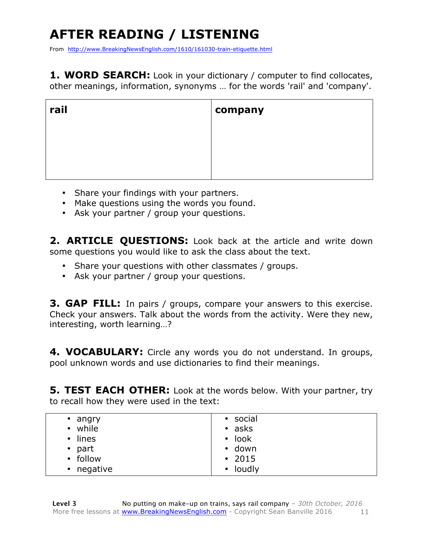## **AFTER READING / LISTENING**

From http://www.BreakingNewsEnglish.com/1610/161030-train-etiquette.html

1. WORD SEARCH: Look in your dictionary / computer to find collocates, other meanings, information, synonyms … for the words 'rail' and 'company'.

| rail | $\vert$ company |
|------|-----------------|
|      |                 |
|      |                 |
|      |                 |

- Share your findings with your partners.
- Make questions using the words you found.
- Ask your partner / group your questions.

**2. ARTICLE QUESTIONS:** Look back at the article and write down some questions you would like to ask the class about the text.

- Share your questions with other classmates / groups.
- Ask your partner / group your questions.

**3. GAP FILL:** In pairs / groups, compare your answers to this exercise. Check your answers. Talk about the words from the activity. Were they new, interesting, worth learning…?

4. VOCABULARY: Circle any words you do not understand. In groups, pool unknown words and use dictionaries to find their meanings.

**5. TEST EACH OTHER:** Look at the words below. With your partner, try to recall how they were used in the text:

| angry<br>$\bullet$ | • social     |
|--------------------|--------------|
| • while            | $\cdot$ asks |
| $\cdot$ lines      | $\cdot$ look |
| $\bullet$ part     | • down       |
| • follow           | $\cdot$ 2015 |
| • negative         | • loudly     |
|                    |              |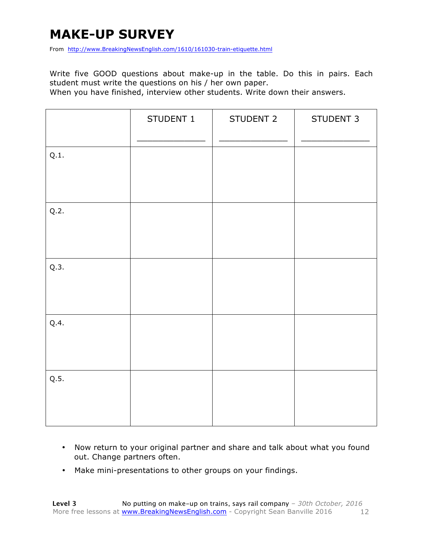#### **MAKE-UP SURVEY**

From http://www.BreakingNewsEnglish.com/1610/161030-train-etiquette.html

Write five GOOD questions about make-up in the table. Do this in pairs. Each student must write the questions on his / her own paper.

When you have finished, interview other students. Write down their answers.

|      | STUDENT 1 | STUDENT 2 | STUDENT 3 |
|------|-----------|-----------|-----------|
| Q.1. |           |           |           |
| Q.2. |           |           |           |
| Q.3. |           |           |           |
| Q.4. |           |           |           |
| Q.5. |           |           |           |

- Now return to your original partner and share and talk about what you found out. Change partners often.
- Make mini-presentations to other groups on your findings.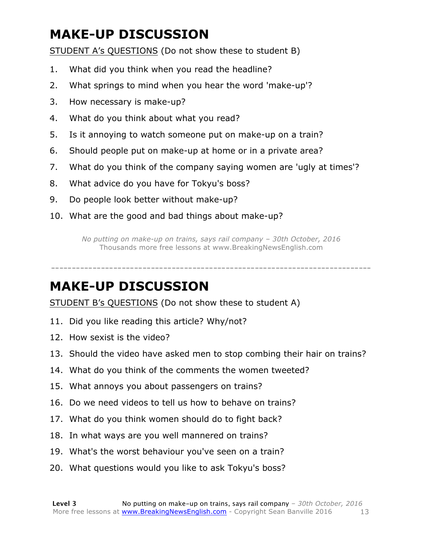## **MAKE-UP DISCUSSION**

STUDENT A's QUESTIONS (Do not show these to student B)

- 1. What did you think when you read the headline?
- 2. What springs to mind when you hear the word 'make-up'?
- 3. How necessary is make-up?
- 4. What do you think about what you read?
- 5. Is it annoying to watch someone put on make-up on a train?
- 6. Should people put on make-up at home or in a private area?
- 7. What do you think of the company saying women are 'ugly at times'?
- 8. What advice do you have for Tokyu's boss?
- 9. Do people look better without make-up?
- 10. What are the good and bad things about make-up?

*No putting on make-up on trains, says rail company – 30th October, 2016* Thousands more free lessons at www.BreakingNewsEnglish.com

-----------------------------------------------------------------------------

#### **MAKE-UP DISCUSSION**

STUDENT B's QUESTIONS (Do not show these to student A)

- 11. Did you like reading this article? Why/not?
- 12. How sexist is the video?
- 13. Should the video have asked men to stop combing their hair on trains?
- 14. What do you think of the comments the women tweeted?
- 15. What annoys you about passengers on trains?
- 16. Do we need videos to tell us how to behave on trains?
- 17. What do you think women should do to fight back?
- 18. In what ways are you well mannered on trains?
- 19. What's the worst behaviour you've seen on a train?
- 20. What questions would you like to ask Tokyu's boss?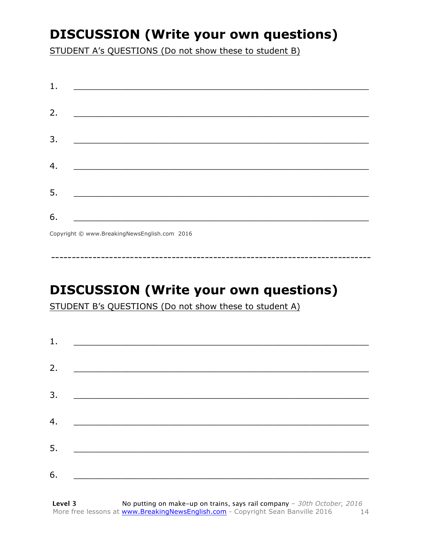### **DISCUSSION (Write your own questions)**

STUDENT A's QUESTIONS (Do not show these to student B)

| 1. | <u> 1989 - Johann Barbara, martin amerikan personal (</u>                                                             |
|----|-----------------------------------------------------------------------------------------------------------------------|
|    |                                                                                                                       |
| 2. |                                                                                                                       |
| 3. |                                                                                                                       |
|    |                                                                                                                       |
| 4. |                                                                                                                       |
| 5. | <u> 1989 - Jan Sterlinger, skriuwer fan it ferstjer fan it ferstjer fan it ferstjer fan it ferstjer fan it ferstj</u> |
|    |                                                                                                                       |
| 6. | $\sigma$ $\cdots$ $\sigma$ $\cdots$ $\cdots$ $\sigma$ $\cdots$ $\sigma$                                               |

Copyright © www.BreakingNewsEnglish.com 2016

## **DISCUSSION (Write your own questions)**

STUDENT B's QUESTIONS (Do not show these to student A)

| 1. |                                                                                                                      |  |
|----|----------------------------------------------------------------------------------------------------------------------|--|
|    |                                                                                                                      |  |
| 2. |                                                                                                                      |  |
| 3. | <u> 1989 - Jan Samuel Barbara, menyebaran bagian pengaran pengaran pengaran pengaran pengaran pengaran pengaran </u> |  |
|    |                                                                                                                      |  |
| 4. | <u> 1980 - Johann Barbara, martxa alemani</u> ar eta b                                                               |  |
| 5. |                                                                                                                      |  |
|    |                                                                                                                      |  |
| 6. |                                                                                                                      |  |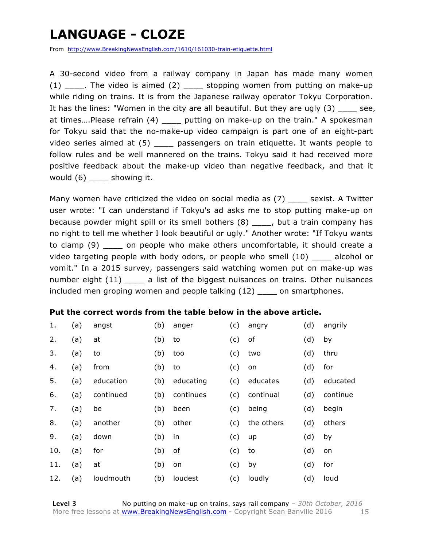### **LANGUAGE - CLOZE**

From http://www.BreakingNewsEnglish.com/1610/161030-train-etiquette.html

A 30-second video from a railway company in Japan has made many women (1)  $\frac{1}{\sqrt{1-\frac{1}{\sqrt{1-\frac{1}{\sqrt{1-\frac{1}{\sqrt{1-\frac{1}{\sqrt{1-\frac{1}{\sqrt{1-\frac{1}{\sqrt{1-\frac{1}{\sqrt{1-\frac{1}{\sqrt{1-\frac{1}{\sqrt{1-\frac{1}{\sqrt{1-\frac{1}{\sqrt{1-\frac{1}{\sqrt{1-\frac{1}{\sqrt{1-\frac{1}{\sqrt{1-\frac{1}{\sqrt{1-\frac{1}{\sqrt{1-\frac{1}{\sqrt{1-\frac{1}{\sqrt{1-\frac{1}{\sqrt{1-\frac{1}{\sqrt{1-\frac{1}{\sqrt{1-\frac{1}{\sqrt{1-\frac{1}{\sqrt{1$ while riding on trains. It is from the Japanese railway operator Tokyu Corporation. It has the lines: "Women in the city are all beautiful. But they are ugly (3) \_\_\_\_ see, at times....Please refrain (4) \_\_\_\_\_ putting on make-up on the train." A spokesman for Tokyu said that the no-make-up video campaign is part one of an eight-part video series aimed at (5) \_\_\_\_\_ passengers on train etiquette. It wants people to follow rules and be well mannered on the trains. Tokyu said it had received more positive feedback about the make-up video than negative feedback, and that it would (6) \_\_\_\_ showing it.

Many women have criticized the video on social media as  $(7)$  sexist. A Twitter user wrote: "I can understand if Tokyu's ad asks me to stop putting make-up on because powder might spill or its smell bothers (8) \_\_\_\_, but a train company has no right to tell me whether I look beautiful or ugly." Another wrote: "If Tokyu wants to clamp (9) \_\_\_\_ on people who make others uncomfortable, it should create a video targeting people with body odors, or people who smell (10) \_\_\_\_ alcohol or vomit." In a 2015 survey, passengers said watching women put on make-up was number eight (11) \_\_\_\_ a list of the biggest nuisances on trains. Other nuisances included men groping women and people talking (12) \_\_\_\_ on smartphones.

#### **Put the correct words from the table below in the above article.**

| 1.  | (a) | angst     | (b) | anger     | (c) | angry      | (d) | angrily  |
|-----|-----|-----------|-----|-----------|-----|------------|-----|----------|
| 2.  | (a) | at        | (b) | to        | (c) | of         | (d) | by       |
| 3.  | (a) | to        | (b) | too       | (c) | two        | (d) | thru     |
| 4.  | (a) | from      | (b) | to        | (c) | on         | (d) | for      |
| 5.  | (a) | education | (b) | educating | (c) | educates   | (d) | educated |
| 6.  | (a) | continued | (b) | continues | (c) | continual  | (d) | continue |
| 7.  | (a) | be        | (b) | been      | (c) | being      | (d) | begin    |
| 8.  | (a) | another   | (b) | other     | (c) | the others | (d) | others   |
| 9.  | (a) | down      | (b) | in        | (c) | up         | (d) | by       |
| 10. | (a) | for       | (b) | οf        | (c) | to         | (d) | on       |
| 11. | (a) | at        | (b) | on        | (c) | by         | (d) | for      |
| 12. | (a) | loudmouth | (b) | loudest   | (c) | loudly     | (d) | loud     |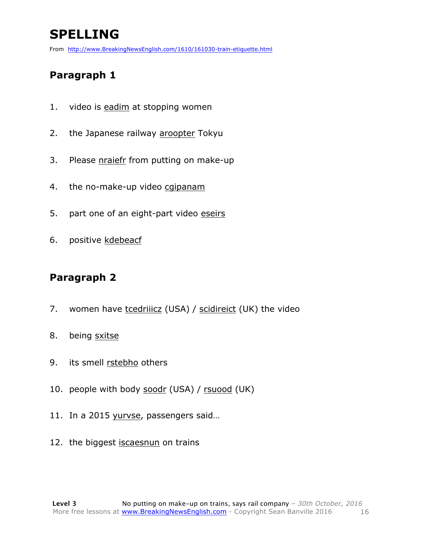## **SPELLING**

From http://www.BreakingNewsEnglish.com/1610/161030-train-etiquette.html

#### **Paragraph 1**

- 1. video is eadim at stopping women
- 2. the Japanese railway aroopter Tokyu
- 3. Please nraiefr from putting on make-up
- 4. the no-make-up video cgipanam
- 5. part one of an eight-part video eseirs
- 6. positive kdebeacf

#### **Paragraph 2**

- 7. women have tcedriiicz (USA) / scidireict (UK) the video
- 8. being sxitse
- 9. its smell rstebho others
- 10. people with body soodr (USA) / rsuood (UK)
- 11. In a 2015 yurvse, passengers said…
- 12. the biggest iscaesnun on trains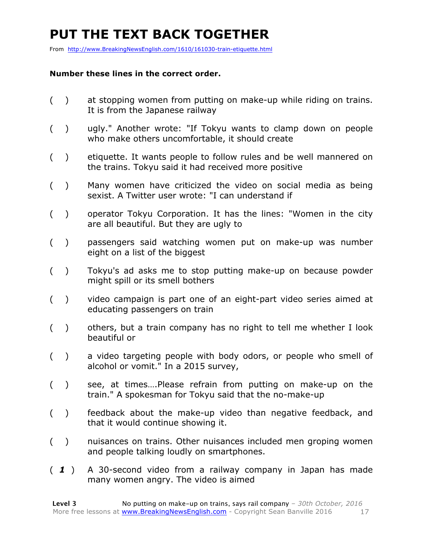### **PUT THE TEXT BACK TOGETHER**

From http://www.BreakingNewsEnglish.com/1610/161030-train-etiquette.html

#### **Number these lines in the correct order.**

- ( ) at stopping women from putting on make-up while riding on trains. It is from the Japanese railway
- ( ) ugly." Another wrote: "If Tokyu wants to clamp down on people who make others uncomfortable, it should create
- ( ) etiquette. It wants people to follow rules and be well mannered on the trains. Tokyu said it had received more positive
- ( ) Many women have criticized the video on social media as being sexist. A Twitter user wrote: "I can understand if
- ( ) operator Tokyu Corporation. It has the lines: "Women in the city are all beautiful. But they are ugly to
- ( ) passengers said watching women put on make-up was number eight on a list of the biggest
- ( ) Tokyu's ad asks me to stop putting make-up on because powder might spill or its smell bothers
- ( ) video campaign is part one of an eight-part video series aimed at educating passengers on train
- ( ) others, but a train company has no right to tell me whether I look beautiful or
- ( ) a video targeting people with body odors, or people who smell of alcohol or vomit." In a 2015 survey,
- ( ) see, at times….Please refrain from putting on make-up on the train." A spokesman for Tokyu said that the no-make-up
- ( ) feedback about the make-up video than negative feedback, and that it would continue showing it.
- ( ) nuisances on trains. Other nuisances included men groping women and people talking loudly on smartphones.
- ( *1* ) A 30-second video from a railway company in Japan has made many women angry. The video is aimed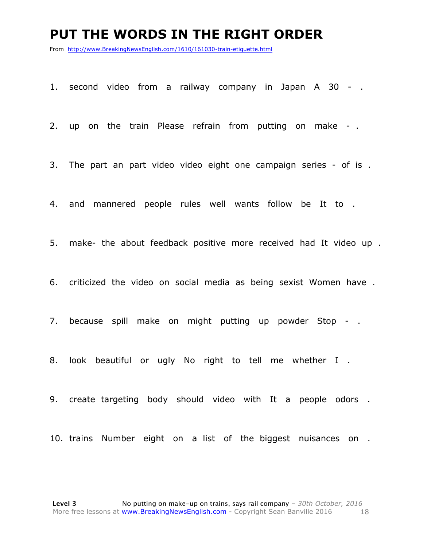#### **PUT THE WORDS IN THE RIGHT ORDER**

From http://www.BreakingNewsEnglish.com/1610/161030-train-etiquette.html

1. second video from a railway company in Japan A 30 - .

2. up on the train Please refrain from putting on make - .

3. The part an part video video eight one campaign series - of is .

4. and mannered people rules well wants follow be It to .

5. make- the about feedback positive more received had It video up .

6. criticized the video on social media as being sexist Women have .

7. because spill make on might putting up powder Stop - .

8. look beautiful or ugly No right to tell me whether I .

9. create targeting body should video with It a people odors .

10. trains Number eight on a list of the biggest nuisances on .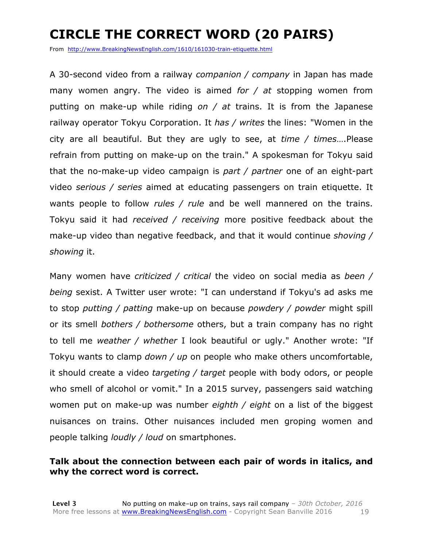## **CIRCLE THE CORRECT WORD (20 PAIRS)**

From http://www.BreakingNewsEnglish.com/1610/161030-train-etiquette.html

A 30-second video from a railway *companion / company* in Japan has made many women angry. The video is aimed *for / at* stopping women from putting on make-up while riding *on / at* trains. It is from the Japanese railway operator Tokyu Corporation. It *has / writes* the lines: "Women in the city are all beautiful. But they are ugly to see, at *time / times*….Please refrain from putting on make-up on the train." A spokesman for Tokyu said that the no-make-up video campaign is *part / partner* one of an eight-part video *serious / series* aimed at educating passengers on train etiquette. It wants people to follow *rules / rule* and be well mannered on the trains. Tokyu said it had *received / receiving* more positive feedback about the make-up video than negative feedback, and that it would continue *shoving / showing* it.

Many women have *criticized / critical* the video on social media as *been / being* sexist. A Twitter user wrote: "I can understand if Tokyu's ad asks me to stop *putting / patting* make-up on because *powdery / powder* might spill or its smell *bothers / bothersome* others, but a train company has no right to tell me *weather / whether* I look beautiful or ugly." Another wrote: "If Tokyu wants to clamp *down / up* on people who make others uncomfortable, it should create a video *targeting / target* people with body odors, or people who smell of alcohol or vomit." In a 2015 survey, passengers said watching women put on make-up was number *eighth / eight* on a list of the biggest nuisances on trains. Other nuisances included men groping women and people talking *loudly / loud* on smartphones.

#### **Talk about the connection between each pair of words in italics, and why the correct word is correct.**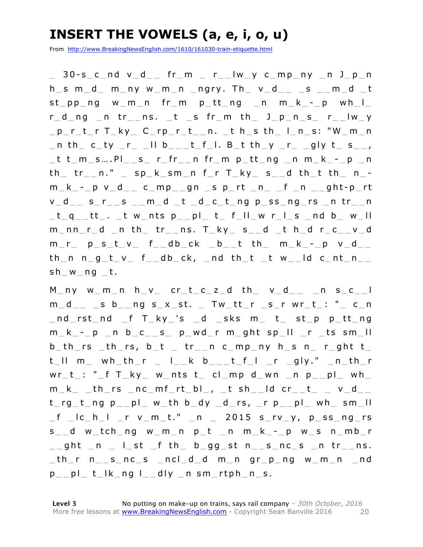### **INSERT THE VOWELS (a, e, i, o, u)**

From http://www.BreakingNewsEnglish.com/1610/161030-train-etiquette.html

\_ 30-s\_c\_nd v\_d\_\_ fr\_m \_ r\_\_lw\_y c\_mp\_ny \_n J\_p\_n  $h_$  s m d m ny w m n ngry. Th  $v_$  d  $_s$  s  $m_d$  t  $st\_pp\_ng$  w  $m\_n$  fr  $m\_p\_tt\_ng$   $n\_m\_k\_-p$  wh  $l\_$ r d ng  $_n$  tr  $_n$ s.  $_t$  is fr  $_m$  th  $j_p$  n s  $r_i$  lw y  $-p_r_t$  r  $T_k$   $y$   $C_r$   $r$   $t$   $n$ .  $t$   $h$   $s$   $th$   $l$   $n$   $s$ : "W  $m$   $n$  $\_$ n th $\_$  c $\_$ ty  $\_$ r $\_$   $\_$ ll b $\_$  $\_$ t $\_$ f $\_$ l. B $\_$ t th $\_$ y  $\_$ r $\_$   $\_$ gly t $\_$  s $\_$  $\_$ ,  $_t$  t  $t_{m}$ s....Pl s\_ r\_fr\_n fr\_m p\_tt\_ng \_n m\_k\_-\_p \_n  $th$   $tr$ <sub>-</sub>n." sp  $k$   $sm$ n f  $r$  T  $ky$   $s$ <sub>-</sub>d  $th$ <sup>+</sup>  $th$   $n$  $m_k - p$  v  $d_2$  c mp gn s p rt n f n  $g$  n s dt p rt v d s r s m d \_t \_d \_c \_t \_ng p \_ss \_ng \_rs \_n tr \_ n  $_t q _t t$ . tw nts p pl t fll w r l s nd b w ll  $m$ \_nn\_r\_d \_n th\_ tr\_\_ns. T\_ky\_ s\_\_d \_t h\_d r\_c\_\_v\_d  $m_r$   $p_s_t_v - r$   $f_0_v$   $f_0_v$   $f_0_v$   $f_0$   $f_0$   $f_1$   $f_1$   $f_1$   $f_1$   $f_1$   $f_1$   $f_1$   $f_1$   $f_1$   $f_1$   $f_1$   $f_1$   $f_1$   $f_1$  $th$   $n$   $n$   $g$   $t$   $v$   $f$   $_g$   $db$   $ck$ ,  $_g$   $nd$   $th$   $t$   $_t$   $w$   $_t$   $dd$   $c$   $nt$   $n$  $sh_w_m_0_t$ .

 $M$  ny w  $m$  n h  $v$  cr t c z d th  $v$  d n s c l  $m_d$  s b ng s x st. Tw tt r s r wr t : " c n  $nd\_rst\_nd\_f$   $T\_ky\_'s\_d$   $\_sks$   $m\_t\_st\_p$   $p\_tt\_ng$  $m_k - p$  n b  $c_{-s}$  p wd r m ght sp  $||$  r ts sm  $||$  $b$ \_th\_rs \_th\_rs,  $b$ \_t \_ tr\_\_n c\_mp\_ny h\_s n\_ r\_ght t\_  $t$   $\Box$  m wh  $th$   $r$   $\Box$   $\Box$   $k$   $\Box$   $\Box$   $t$   $\Box$   $f$   $\Box$   $r$   $\Box$   $g$   $\Box$   $y$   $\Box$   $r$   $\Box$   $r$   $\Box$   $r$  $wr_t$ : " $_f$  T $_k$ y w\_nts t\_ cl\_mp d\_wn \_n p\_pl\_ wh\_  $m_k$  \_th\_rs \_nc\_mf\_rt\_bl\_, \_t sh\_\_ld cr\_\_t\_ \_v\_d\_\_  $t_{rg_t}$  t\_ng  $p_{f}$  pl\_ w\_th b\_dy \_d\_rs, \_r  $p_{f}$  pl\_ wh\_ sm\_ll  $_f$   $\lfloor c_h \rfloor$   $\lfloor r \ v_m t \rfloor$   $\lfloor n \rfloor$  2015 s $\lfloor r \ v_m y \rfloor$  p ss ng  $rs$  $s$ \_\_d w\_tch\_ng w\_m\_n p\_t \_n m\_k\_-\_p w\_s n\_mb\_r  $\Box$ ght  $\Box$ n  $\Box$   $\Box$ st  $\Box$ f th $\Box$  b $\Box$ gg $\Box$ st n $\Box$ s $\Box$ nc $\Box$ s  $\Box$ n tr $\Box$ ns.  $-th$ r n  $_s$  nc  $s$   $_{ncl-d-d$  m n gr  $p$  ng w  $m$  n  $_{ncl-d}$  $p_{--}$ pl $_{-}$  t $_{-}$ lk $_{-}$ ng l $_{--}$ dly $_{-}$ n sm $_{-}$ rtph $_{-}$ n $_{-}$ s.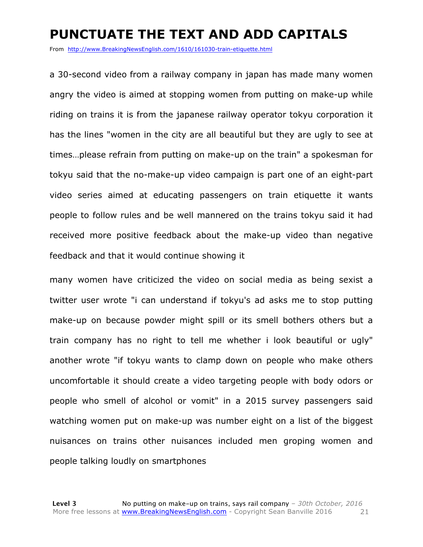#### **PUNCTUATE THE TEXT AND ADD CAPITALS**

From http://www.BreakingNewsEnglish.com/1610/161030-train-etiquette.html

a 30-second video from a railway company in japan has made many women angry the video is aimed at stopping women from putting on make-up while riding on trains it is from the japanese railway operator tokyu corporation it has the lines "women in the city are all beautiful but they are ugly to see at times…please refrain from putting on make-up on the train" a spokesman for tokyu said that the no-make-up video campaign is part one of an eight-part video series aimed at educating passengers on train etiquette it wants people to follow rules and be well mannered on the trains tokyu said it had received more positive feedback about the make-up video than negative feedback and that it would continue showing it

many women have criticized the video on social media as being sexist a twitter user wrote "i can understand if tokyu's ad asks me to stop putting make-up on because powder might spill or its smell bothers others but a train company has no right to tell me whether i look beautiful or ugly" another wrote "if tokyu wants to clamp down on people who make others uncomfortable it should create a video targeting people with body odors or people who smell of alcohol or vomit" in a 2015 survey passengers said watching women put on make-up was number eight on a list of the biggest nuisances on trains other nuisances included men groping women and people talking loudly on smartphones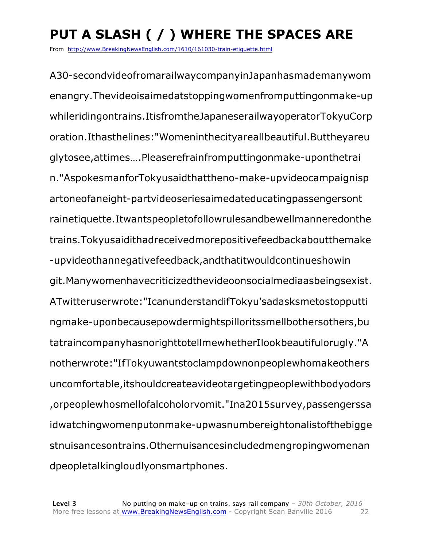## **PUT A SLASH ( / ) WHERE THE SPACES ARE**

From http://www.BreakingNewsEnglish.com/1610/161030-train-etiquette.html

A30-secondvideofromarailwaycompanyinJapanhasmademanywom enangry.Thevideoisaimedatstoppingwomenfromputtingonmake-up whileridingontrains.ItisfromtheJapaneserailwayoperatorTokyuCorp oration.Ithasthelines:"Womeninthecityareallbeautiful.Buttheyareu glytosee,attimes….Pleaserefrainfromputtingonmake-uponthetrai n."AspokesmanforTokyusaidthattheno-make-upvideocampaignisp artoneofaneight-partvideoseriesaimedateducatingpassengersont rainetiquette.Itwantspeopletofollowrulesandbewellmanneredonthe trains.Tokyusaidithadreceivedmorepositivefeedbackaboutthemake -upvideothannegativefeedback,andthatitwouldcontinueshowin git.Manywomenhavecriticizedthevideoonsocialmediaasbeingsexist. ATwitteruserwrote:"IcanunderstandifTokyu'sadasksmetostopputti ngmake-uponbecausepowdermightspilloritssmellbothersothers,bu tatraincompanyhasnorighttotellmewhetherIlookbeautifulorugly."A notherwrote:"IfTokyuwantstoclampdownonpeoplewhomakeothers uncomfortable,itshouldcreateavideotargetingpeoplewithbodyodors ,orpeoplewhosmellofalcoholorvomit."Ina2015survey,passengerssa idwatchingwomenputonmake-upwasnumbereightonalistofthebigge stnuisancesontrains.Othernuisancesincludedmengropingwomenan dpeopletalkingloudlyonsmartphones.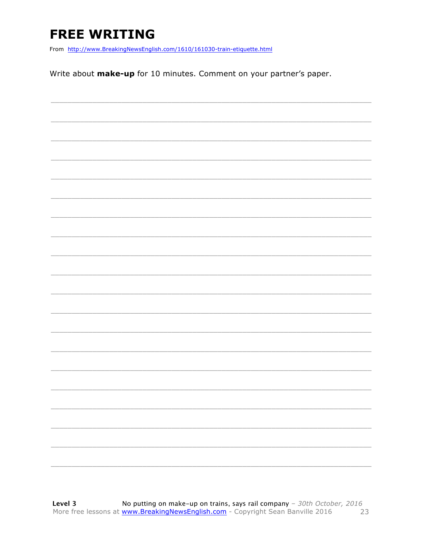## **FREE WRITING**

From http://www.BreakingNewsEnglish.com/1610/161030-train-etiquette.html

Write about make-up for 10 minutes. Comment on your partner's paper.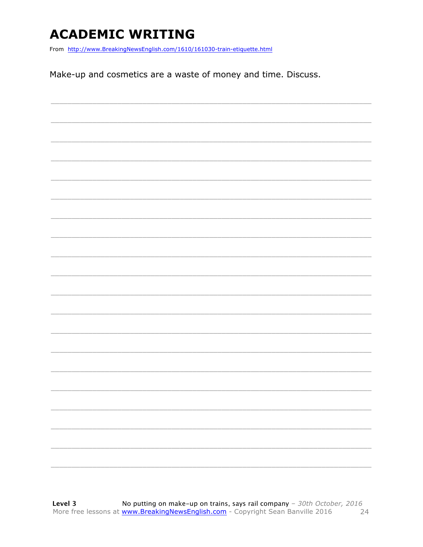### **ACADEMIC WRITING**

From http://www.BreakingNewsEnglish.com/1610/161030-train-etiquette.html

Make-up and cosmetics are a waste of money and time. Discuss.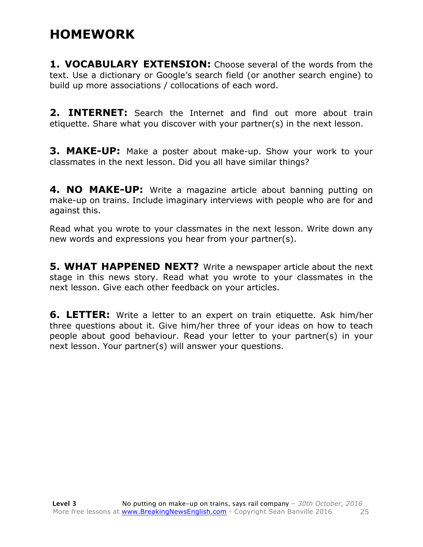#### **HOMEWORK**

**1. VOCABULARY EXTENSION:** Choose several of the words from the text. Use a dictionary or Google's search field (or another search engine) to build up more associations / collocations of each word.

**2. INTERNET:** Search the Internet and find out more about train etiquette. Share what you discover with your partner(s) in the next lesson.

**3. MAKE-UP:** Make a poster about make-up. Show your work to your classmates in the next lesson. Did you all have similar things?

**4. NO MAKE-UP:** Write a magazine article about banning putting on make-up on trains. Include imaginary interviews with people who are for and against this.

Read what you wrote to your classmates in the next lesson. Write down any new words and expressions you hear from your partner(s).

**5. WHAT HAPPENED NEXT?** Write a newspaper article about the next stage in this news story. Read what you wrote to your classmates in the next lesson. Give each other feedback on your articles.

**6. LETTER:** Write a letter to an expert on train etiquette. Ask him/her three questions about it. Give him/her three of your ideas on how to teach people about good behaviour. Read your letter to your partner(s) in your next lesson. Your partner(s) will answer your questions.